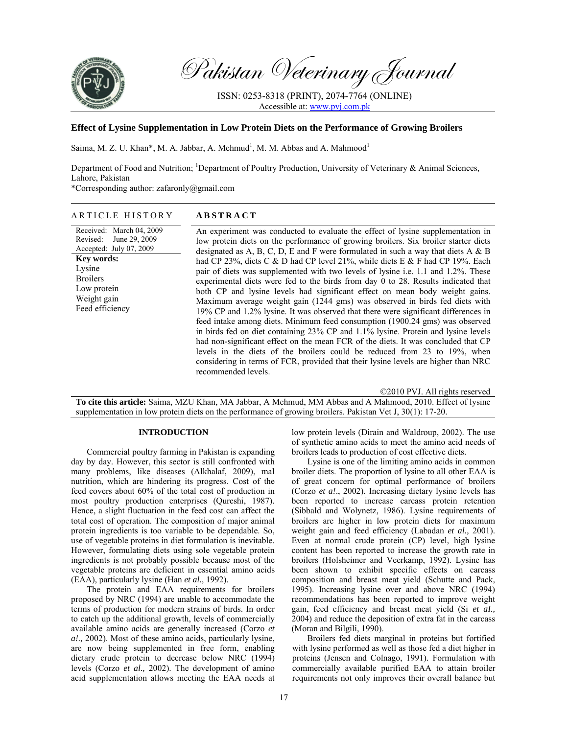

Pakistan Veterinary Journal

ISSN: 0253-8318 (PRINT), 2074-7764 (ONLINE) Accessible at: www.pvj.com.pk

# **Effect of Lysine Supplementation in Low Protein Diets on the Performance of Growing Broilers**

Saima, M. Z. U. Khan\*, M. A. Jabbar, A. Mehmud<sup>1</sup>, M. M. Abbas and A. Mahmood<sup>1</sup>

Department of Food and Nutrition; <sup>1</sup>Department of Poultry Production, University of Veterinary & Animal Sciences, Lahore, Pakistan

\*Corresponding author: zafaronly@gmail.com

#### ARTICLE HISTORY **ABSTRACT**  Received: March 04, 2009 Revised: June 29, 2009 Accepted: July 07, 2009 **Key words:**  Lysine Broilers Low protein Weight gain Feed efficiency An experiment was conducted to evaluate the effect of lysine supplementation in low protein diets on the performance of growing broilers. Six broiler starter diets designated as A, B, C, D, E and F were formulated in such a way that diets A  $\&$  B had CP 23%, diets C & D had CP level 21%, while diets E & F had CP 19%. Each pair of diets was supplemented with two levels of lysine i.e. 1.1 and 1.2%. These experimental diets were fed to the birds from day 0 to 28. Results indicated that both CP and lysine levels had significant effect on mean body weight gains. Maximum average weight gain (1244 gms) was observed in birds fed diets with 19% CP and 1.2% lysine. It was observed that there were significant differences in feed intake among diets. Minimum feed consumption (1900.24 gms) was observed in birds fed on diet containing 23% CP and 1.1% lysine. Protein and lysine levels had non-significant effect on the mean FCR of the diets. It was concluded that CP levels in the diets of the broilers could be reduced from 23 to 19%, when considering in terms of FCR, provided that their lysine levels are higher than NRC recommended levels.

©2010 PVJ. All rights reserved **To cite this article:** Saima, MZU Khan, MA Jabbar, A Mehmud, MM Abbas and A Mahmood, 2010. Effect of lysine supplementation in low protein diets on the performance of growing broilers. Pakistan Vet J, 30(1): 17-20.

## **INTRODUCTION**

Commercial poultry farming in Pakistan is expanding day by day. However, this sector is still confronted with many problems, like diseases (Alkhalaf, 2009), mal nutrition, which are hindering its progress. Cost of the feed covers about 60% of the total cost of production in most poultry production enterprises (Qureshi, 1987). Hence, a slight fluctuation in the feed cost can affect the total cost of operation. The composition of major animal protein ingredients is too variable to be dependable. So, use of vegetable proteins in diet formulation is inevitable. However, formulating diets using sole vegetable protein ingredients is not probably possible because most of the vegetable proteins are deficient in essential amino acids (EAA), particularly lysine (Han *et al.,* 1992).

The protein and EAA requirements for broilers proposed by NRC (1994) are unable to accommodate the terms of production for modern strains of birds. In order to catch up the additional growth, levels of commercially available amino acids are generally increased (Corzo *et a!.,* 2002). Most of these amino acids, particularly lysine, are now being supplemented in free form, enabling dietary crude protein to decrease below NRC (1994) levels (Corzo *et al.,* 2002). The development of amino acid supplementation allows meeting the EAA needs at low protein levels (Dirain and Waldroup, 2002). The use of synthetic amino acids to meet the amino acid needs of broilers leads to production of cost effective diets.

Lysine is one of the limiting amino acids in common broiler diets. The proportion of lysine to all other EAA is of great concern for optimal performance of broilers (Corzo *et a!*., 2002). Increasing dietary lysine levels has been reported to increase carcass protein retention (Sibbald and Wolynetz, 1986). Lysine requirements of broilers are higher in low protein diets for maximum weight gain and feed efficiency (Labadan *et al.,* 2001). Even at normal crude protein (CP) level, high lysine content has been reported to increase the growth rate in broilers (Holsheimer and Veerkamp, 1992). Lysine has been shown to exhibit specific effects on carcass composition and breast meat yield (Schutte and Pack, 1995). Increasing lysine over and above NRC (1994) recommendations has been reported to improve weight gain, feed efficiency and breast meat yield (Si *et aI.,*  2004) and reduce the deposition of extra fat in the carcass (Moran and Bilgili, 1990).

Broilers fed diets marginal in proteins but fortified with lysine performed as well as those fed a diet higher in proteins (Jensen and Colnago, 1991). Formulation with commercially available purified EAA to attain broiler requirements not only improves their overall balance but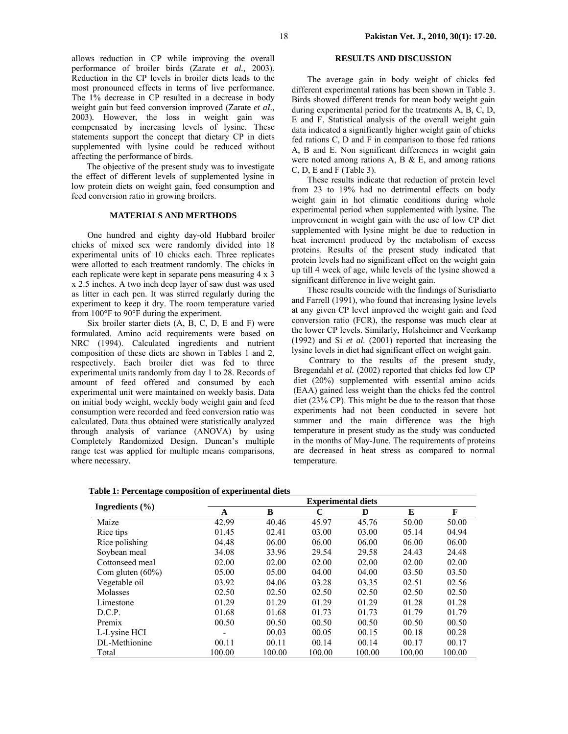allows reduction in CP while improving the overall performance of broiler birds (Zarate *et al.,* 2003). Reduction in the CP levels in broiler diets leads to the most pronounced effects in terms of live performance. The 1% decrease in CP resulted in a decrease in body weight gain but feed conversion improved (Zarate *et aI.,*  2003)*.* However, the loss in weight gain was compensated by increasing levels of lysine. These statements support the concept that dietary CP in diets supplemented with lysine could be reduced without affecting the performance of birds.

The objective of the present study was to investigate the effect of different levels of supplemented lysine in low protein diets on weight gain, feed consumption and feed conversion ratio in growing broilers.

### **MATERIALS AND MERTHODS**

One hundred and eighty day-old Hubbard broiler chicks of mixed sex were randomly divided into 18 experimental units of 10 chicks each. Three replicates were allotted to each treatment randomly. The chicks in each replicate were kept in separate pens measuring 4 x 3 x 2.5 inches. A two inch deep layer of saw dust was used as litter in each pen. It was stirred regularly during the experiment to keep it dry. The room temperature varied from 100°F to 90°F during the experiment.

Six broiler starter diets (A, B, C, D, E and F) were formulated. Amino acid requirements were based on NRC (1994). Calculated ingredients and nutrient composition of these diets are shown in Tables 1 and 2, respectively. Each broiler diet was fed to three experimental units randomly from day 1 to 28. Records of amount of feed offered and consumed by each experimental unit were maintained on weekly basis. Data on initial body weight, weekly body weight gain and feed consumption were recorded and feed conversion ratio was calculated. Data thus obtained were statistically analyzed through analysis of variance (ANOVA) by using Completely Randomized Design. Duncan's multiple range test was applied for multiple means comparisons, where necessary.

# **RESULTS AND DISCUSSION**

The average gain in body weight of chicks fed different experimental rations has been shown in Table 3. Birds showed different trends for mean body weight gain during experimental period for the treatments A, B, C, D, E and F. Statistical analysis of the overall weight gain data indicated a significantly higher weight gain of chicks fed rations C, D and F in comparison to those fed rations A, B and E. Non significant differences in weight gain were noted among rations  $A$ ,  $B \& E$ , and among rations C, D, E and F (Table 3).

These results indicate that reduction of protein level from 23 to 19% had no detrimental effects on body weight gain in hot climatic conditions during whole experimental period when supplemented with lysine. The improvement in weight gain with the use of low CP diet supplemented with lysine might be due to reduction in heat increment produced by the metabolism of excess proteins. Results of the present study indicated that protein levels had no significant effect on the weight gain up till 4 week of age, while levels of the lysine showed a significant difference in live weight gain.

These results coincide with the findings of Surisdiarto and Farrell (1991), who found that increasing lysine levels at any given CP level improved the weight gain and feed conversion ratio (FCR), the response was much clear at the lower CP levels. Similarly, Holsheimer and Veerkamp (1992) and Si *et al.* (2001) reported that increasing the lysine levels in diet had significant effect on weight gain.

Contrary to the results of the present study, Bregendahl *et al.* (2002) reported that chicks fed low CP diet (20%) supplemented with essential amino acids (EAA) gained less weight than the chicks fed the control diet (23% CP). This might be due to the reason that those experiments had not been conducted in severe hot summer and the main difference was the high temperature in present study as the study was conducted in the months of May-June. The requirements of proteins are decreased in heat stress as compared to normal temperature.

**Table 1: Percentage composition of experimental diets** 

|                     | <b>Experimental diets</b> |        |             |        |        |        |  |  |
|---------------------|---------------------------|--------|-------------|--------|--------|--------|--|--|
| Ingredients $(\% )$ | A                         | B      | $\mathbf C$ | D      | E      | F      |  |  |
| Maize               | 42.99                     | 40.46  | 45.97       | 45.76  | 50.00  | 50.00  |  |  |
| Rice tips           | 01.45                     | 02.41  | 03.00       | 03.00  | 05.14  | 04.94  |  |  |
| Rice polishing      | 04.48                     | 06.00  | 06.00       | 06.00  | 06.00  | 06.00  |  |  |
| Soybean meal        | 34.08                     | 33.96  | 29.54       | 29.58  | 24.43  | 24.48  |  |  |
| Cottonseed meal     | 02.00                     | 02.00  | 02.00       | 02.00  | 02.00  | 02.00  |  |  |
| Com gluten $(60\%)$ | 05.00                     | 05.00  | 04.00       | 04.00  | 03.50  | 03.50  |  |  |
| Vegetable oil       | 03.92                     | 04.06  | 03.28       | 03.35  | 02.51  | 02.56  |  |  |
| Molasses            | 02.50                     | 02.50  | 02.50       | 02.50  | 02.50  | 02.50  |  |  |
| Limestone           | 01.29                     | 01.29  | 01.29       | 01.29  | 01.28  | 01.28  |  |  |
| D.C.P.              | 01.68                     | 01.68  | 01.73       | 01.73  | 01.79  | 01.79  |  |  |
| Premix              | 00.50                     | 00.50  | 00.50       | 00.50  | 00.50  | 00.50  |  |  |
| L-Lysine HCI        |                           | 00.03  | 00.05       | 00.15  | 00.18  | 00.28  |  |  |
| DL-Methionine       | 00.11                     | 00.11  | 00.14       | 00.14  | 00.17  | 00.17  |  |  |
| Total               | 100.00                    | 100.00 | 100.00      | 100.00 | 100.00 | 100.00 |  |  |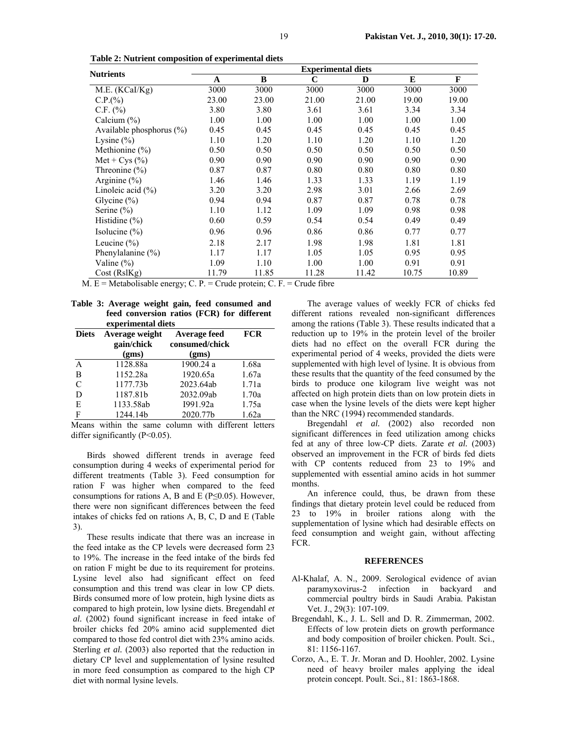|                             | <b>Experimental diets</b> |       |       |       |       |       |
|-----------------------------|---------------------------|-------|-------|-------|-------|-------|
| <b>Nutrients</b>            | $\mathbf A$               | B     | C     | D     | E     | F     |
| M.E. (KCal/Kg)              | 3000                      | 3000  | 3000  | 3000  | 3000  | 3000  |
| C.P.(%)                     | 23.00                     | 23.00 | 21.00 | 21.00 | 19.00 | 19.00 |
| $C.F.$ (%)                  | 3.80                      | 3.80  | 3.61  | 3.61  | 3.34  | 3.34  |
| Calcium $(\%)$              | 1.00                      | 1.00  | 1.00  | 1.00  | 1.00  | 1.00  |
| Available phosphorus $(\%)$ | 0.45                      | 0.45  | 0.45  | 0.45  | 0.45  | 0.45  |
| Lysine $(\% )$              | 1.10                      | 1.20  | 1.10  | 1.20  | 1.10  | 1.20  |
| Methionine $(\% )$          | 0.50                      | 0.50  | 0.50  | 0.50  | 0.50  | 0.50  |
| Met + $Cys$ (%)             | 0.90                      | 0.90  | 0.90  | 0.90  | 0.90  | 0.90  |
| Threonine $(\% )$           | 0.87                      | 0.87  | 0.80  | 0.80  | 0.80  | 0.80  |
| Arginine $(\%)$             | 1.46                      | 1.46  | 1.33  | 1.33  | 1.19  | 1.19  |
| Linoleic acid $(\% )$       | 3.20                      | 3.20  | 2.98  | 3.01  | 2.66  | 2.69  |
| Glycine $(\%)$              | 0.94                      | 0.94  | 0.87  | 0.87  | 0.78  | 0.78  |
| Serine $(\% )$              | 1.10                      | 1.12  | 1.09  | 1.09  | 0.98  | 0.98  |
| Histidine $(\% )$           | 0.60                      | 0.59  | 0.54  | 0.54  | 0.49  | 0.49  |
| Isolucine $(\%)$            | 0.96                      | 0.96  | 0.86  | 0.86  | 0.77  | 0.77  |
| Leucine $(\% )$             | 2.18                      | 2.17  | 1.98  | 1.98  | 1.81  | 1.81  |
| Phenylalanine $(\% )$       | 1.17                      | 1.17  | 1.05  | 1.05  | 0.95  | 0.95  |
| Valine $(\%)$               | 1.09                      | 1.10  | 1.00  | 1.00  | 0.91  | 0.91  |
| Cost(RslKg)                 | 11.79                     | 11.85 | 11.28 | 11.42 | 10.75 | 10.89 |

 **Table 2: Nutrient composition of experimental diets** 

M.  $E = Metabolisable energy; C. P. = Crude protein; C. F. = Crude fibre$ 

|                    |  |  |  |  |  | Table 3: Average weight gain, feed consumed and |  |
|--------------------|--|--|--|--|--|-------------------------------------------------|--|
|                    |  |  |  |  |  | feed conversion ratios (FCR) for different      |  |
| experimental diets |  |  |  |  |  |                                                 |  |

|               | CAPCLIMICINAL UICIS          |                                |       |  |  |  |  |  |
|---------------|------------------------------|--------------------------------|-------|--|--|--|--|--|
| <b>Diets</b>  | Average weight<br>gain/chick | Average feed<br>consumed/chick | FCR   |  |  |  |  |  |
|               | (gms)                        | (gms)                          |       |  |  |  |  |  |
| A             | 1128.88a                     | 1900.24 a                      | 1.68a |  |  |  |  |  |
| B             | 1152.28a                     | 1920.65a                       | 1.67a |  |  |  |  |  |
| $\mathcal{C}$ | 1177.73b                     | 2023.64ab                      | 1.71a |  |  |  |  |  |
| D             | 1187.81b                     | 2032.09ab                      | 1.70a |  |  |  |  |  |
| E             | 1133.58ab                    | 1991.92a                       | 1.75a |  |  |  |  |  |
| F             | 1244.14b                     | 2020.77b                       | 1.62a |  |  |  |  |  |

Means within the same column with different letters differ significantly  $(P<0.05)$ .

Birds showed different trends in average feed consumption during 4 weeks of experimental period for different treatments (Table 3). Feed consumption for ration F was higher when compared to the feed consumptions for rations A, B and E ( $P \le 0.05$ ). However, there were non significant differences between the feed intakes of chicks fed on rations A, B, C, D and E (Table 3).

These results indicate that there was an increase in the feed intake as the CP levels were decreased form 23 to 19%. The increase in the feed intake of the birds fed on ration F might be due to its requirement for proteins. Lysine level also had significant effect on feed consumption and this trend was clear in low CP diets. Birds consumed more of low protein, high lysine diets as compared to high protein, low lysine diets. Bregendahl *et al.* (2002) found significant increase in feed intake of broiler chicks fed 20% amino acid supplemented diet compared to those fed control diet with 23% amino acids. Sterling *et al.* (2003) also reported that the reduction in dietary CP level and supplementation of lysine resulted in more feed consumption as compared to the high CP diet with normal lysine levels.

The average values of weekly FCR of chicks fed different rations revealed non-significant differences among the rations (Table 3). These results indicated that a reduction up to 19% in the protein level of the broiler diets had no effect on the overall FCR during the experimental period of 4 weeks, provided the diets were supplemented with high level of lysine. It is obvious from these results that the quantity of the feed consumed by the birds to produce one kilogram live weight was not affected on high protein diets than on low protein diets in case when the lysine levels of the diets were kept higher than the NRC (1994) recommended standards.

Bregendahl *et al.* (2002) also recorded non significant differences in feed utilization among chicks fed at any of three low-CP diets. Zarate *et al.* (2003) observed an improvement in the FCR of birds fed diets with CP contents reduced from 23 to 19% and supplemented with essential amino acids in hot summer months.

An inference could, thus, be drawn from these findings that dietary protein level could be reduced from 23 to 19% in broiler rations along with the supplementation of lysine which had desirable effects on feed consumption and weight gain, without affecting FCR.

## **REFERENCES**

- Al-Khalaf, A. N., 2009. Serological evidence of avian paramyxovirus-2 infection in backyard and commercial poultry birds in Saudi Arabia. Pakistan Vet. J., 29(3): 107-109.
- Bregendahl, K., J. L. Sell and D. R. Zimmerman, 2002. Effects of low protein diets on growth performance and body composition of broiler chicken. Poult. Sci., 81: 1156-1167.
- Corzo, A., E. T. Jr. Moran and D. Hoohler, 2002. Lysine need of heavy broiler males applying the ideal protein concept. Poult. Sci., 81: 1863-1868.